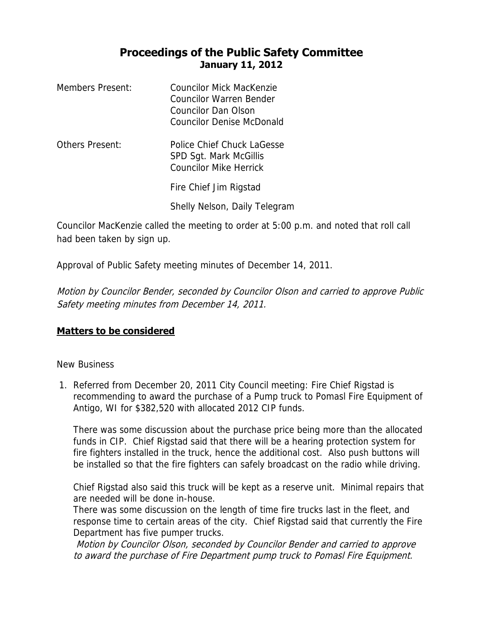## **Proceedings of the Public Safety Committee January 11, 2012**

| Members Present: | Councilor Mick MacKenzie<br>Councilor Warren Bender<br>Councilor Dan Olson<br><b>Councilor Denise McDonald</b> |
|------------------|----------------------------------------------------------------------------------------------------------------|
| Others Present:  | Police Chief Chuck LaGesse<br>SPD Sgt. Mark McGillis<br><b>Councilor Mike Herrick</b>                          |
|                  | Fire Chief Jim Rigstad                                                                                         |
|                  | Shelly Nelson, Daily Telegram                                                                                  |

Councilor MacKenzie called the meeting to order at 5:00 p.m. and noted that roll call had been taken by sign up.

Approval of Public Safety meeting minutes of December 14, 2011.

Motion by Councilor Bender, seconded by Councilor Olson and carried to approve Public Safety meeting minutes from December 14, 2011.

## **Matters to be considered**

## New Business

1. Referred from December 20, 2011 City Council meeting: Fire Chief Rigstad is recommending to award the purchase of a Pump truck to Pomasl Fire Equipment of Antigo, WI for \$382,520 with allocated 2012 CIP funds.

There was some discussion about the purchase price being more than the allocated funds in CIP. Chief Rigstad said that there will be a hearing protection system for fire fighters installed in the truck, hence the additional cost. Also push buttons will be installed so that the fire fighters can safely broadcast on the radio while driving.

Chief Rigstad also said this truck will be kept as a reserve unit. Minimal repairs that are needed will be done in-house.

There was some discussion on the length of time fire trucks last in the fleet, and response time to certain areas of the city. Chief Rigstad said that currently the Fire Department has five pumper trucks.

Motion by Councilor Olson, seconded by Councilor Bender and carried to approve to award the purchase of Fire Department pump truck to Pomasl Fire Equipment.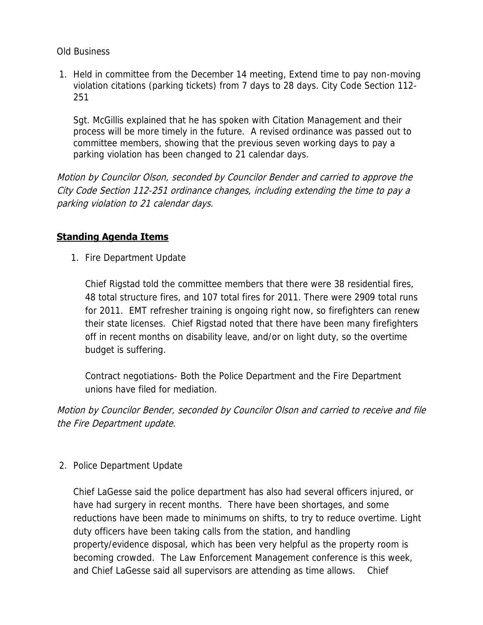Old Business

1. Held in committee from the December 14 meeting, Extend time to pay non-moving violation citations (parking tickets) from 7 days to 28 days. City Code Section 112- 251

Sgt. McGillis explained that he has spoken with Citation Management and their process will be more timely in the future. A revised ordinance was passed out to committee members, showing that the previous seven working days to pay a parking violation has been changed to 21 calendar days.

Motion by Councilor Olson, seconded by Councilor Bender and carried to approve the City Code Section 112-251 ordinance changes, including extending the time to pay a parking violation to 21 calendar days.

## **Standing Agenda Items**

1. Fire Department Update

Chief Rigstad told the committee members that there were 38 residential fires, 48 total structure fires, and 107 total fires for 2011. There were 2909 total runs for 2011. EMT refresher training is ongoing right now, so firefighters can renew their state licenses. Chief Rigstad noted that there have been many firefighters off in recent months on disability leave, and/or on light duty, so the overtime budget is suffering.

Contract negotiations- Both the Police Department and the Fire Department unions have filed for mediation.

Motion by Councilor Bender, seconded by Councilor Olson and carried to receive and file the Fire Department update.

2. Police Department Update

Chief LaGesse said the police department has also had several officers injured, or have had surgery in recent months. There have been shortages, and some reductions have been made to minimums on shifts, to try to reduce overtime. Light duty officers have been taking calls from the station, and handling property/evidence disposal, which has been very helpful as the property room is becoming crowded. The Law Enforcement Management conference is this week, and Chief LaGesse said all supervisors are attending as time allows. Chief